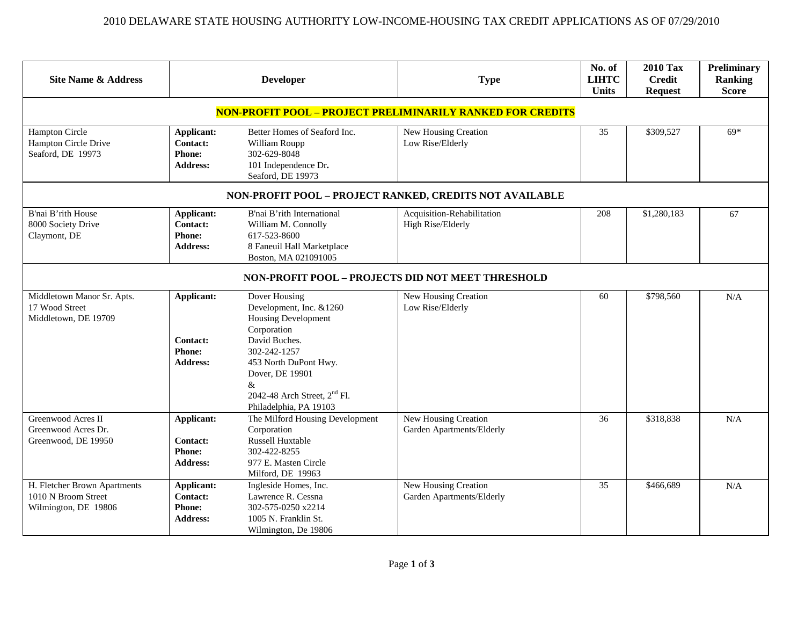| <b>Site Name &amp; Address</b>                                              | <b>Developer</b>                                                         |                                                                                                                                                                                                                                               | <b>Type</b>                                       | No. of<br><b>LIHTC</b><br><b>Units</b> | <b>2010 Tax</b><br><b>Credit</b><br><b>Request</b> | <b>Preliminary</b><br>Ranking<br><b>Score</b> |  |  |  |
|-----------------------------------------------------------------------------|--------------------------------------------------------------------------|-----------------------------------------------------------------------------------------------------------------------------------------------------------------------------------------------------------------------------------------------|---------------------------------------------------|----------------------------------------|----------------------------------------------------|-----------------------------------------------|--|--|--|
| NON-PROFIT POOL - PROJECT PRELIMINARILY RANKED FOR CREDITS                  |                                                                          |                                                                                                                                                                                                                                               |                                                   |                                        |                                                    |                                               |  |  |  |
| Hampton Circle<br>Hampton Circle Drive<br>Seaford, DE 19973                 | <b>Applicant:</b><br><b>Contact:</b><br><b>Phone:</b><br><b>Address:</b> | Better Homes of Seaford Inc.<br>William Roupp<br>302-629-8048<br>101 Independence Dr.<br>Seaford, DE 19973                                                                                                                                    | New Housing Creation<br>Low Rise/Elderly          | 35                                     | \$309,527                                          | $69*$                                         |  |  |  |
| NON-PROFIT POOL - PROJECT RANKED, CREDITS NOT AVAILABLE                     |                                                                          |                                                                                                                                                                                                                                               |                                                   |                                        |                                                    |                                               |  |  |  |
| B'nai B'rith House<br>8000 Society Drive<br>Claymont, DE                    | Applicant:<br><b>Contact:</b><br><b>Phone:</b><br><b>Address:</b>        | B'nai B'rith International<br>William M. Connolly<br>617-523-8600<br>8 Faneuil Hall Marketplace<br>Boston, MA 021091005                                                                                                                       | Acquisition-Rehabilitation<br>High Rise/Elderly   | 208                                    | \$1,280,183                                        | 67                                            |  |  |  |
| NON-PROFIT POOL - PROJECTS DID NOT MEET THRESHOLD                           |                                                                          |                                                                                                                                                                                                                                               |                                                   |                                        |                                                    |                                               |  |  |  |
| Middletown Manor Sr. Apts.<br>17 Wood Street<br>Middletown, DE 19709        | Applicant:<br><b>Contact:</b><br><b>Phone:</b><br><b>Address:</b>        | Dover Housing<br>Development, Inc. &1260<br><b>Housing Development</b><br>Corporation<br>David Buches.<br>302-242-1257<br>453 North DuPont Hwy.<br>Dover, DE 19901<br>&<br>2042-48 Arch Street, 2 <sup>nd</sup> Fl.<br>Philadelphia, PA 19103 | New Housing Creation<br>Low Rise/Elderly          | 60                                     | \$798,560                                          | $\rm N/A$                                     |  |  |  |
| Greenwood Acres II<br>Greenwood Acres Dr.<br>Greenwood, DE 19950            | Applicant:<br><b>Contact:</b><br><b>Phone:</b><br><b>Address:</b>        | The Milford Housing Development<br>Corporation<br>Russell Huxtable<br>302-422-8255<br>977 E. Masten Circle<br>Milford, DE 19963                                                                                                               | New Housing Creation<br>Garden Apartments/Elderly | 36                                     | \$318,838                                          | N/A                                           |  |  |  |
| H. Fletcher Brown Apartments<br>1010 N Broom Street<br>Wilmington, DE 19806 | <b>Applicant:</b><br>Contact:<br><b>Phone:</b><br><b>Address:</b>        | Ingleside Homes, Inc.<br>Lawrence R. Cessna<br>302-575-0250 x2214<br>1005 N. Franklin St.<br>Wilmington, De 19806                                                                                                                             | New Housing Creation<br>Garden Apartments/Elderly | 35                                     | \$466,689                                          | N/A                                           |  |  |  |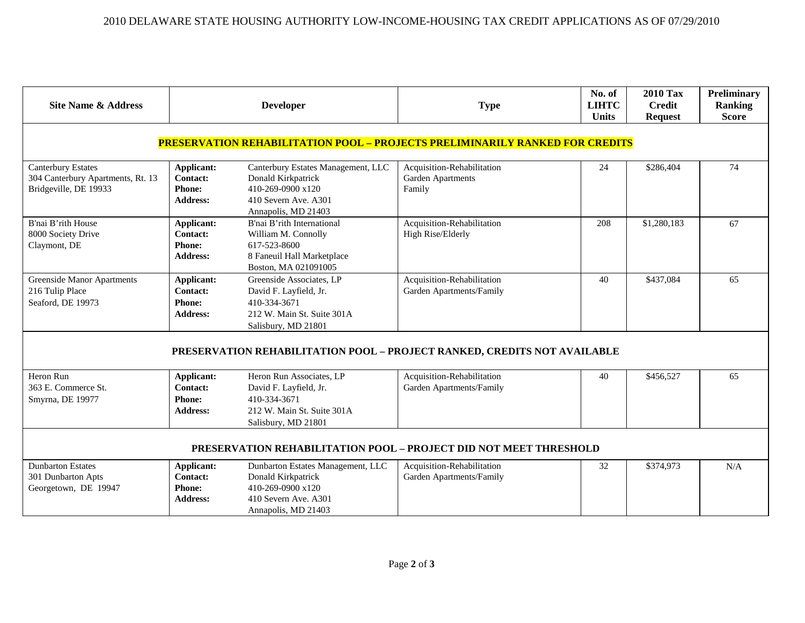| <b>Site Name &amp; Address</b>                                                          |                                                                   | <b>Developer</b>                                                                                                             | <b>Type</b>                                               | No. of<br><b>LIHTC</b><br><b>Units</b> | <b>2010 Tax</b><br><b>Credit</b><br><b>Request</b> | Preliminary<br>Ranking<br><b>Score</b> |  |  |  |
|-----------------------------------------------------------------------------------------|-------------------------------------------------------------------|------------------------------------------------------------------------------------------------------------------------------|-----------------------------------------------------------|----------------------------------------|----------------------------------------------------|----------------------------------------|--|--|--|
| <b>PRESERVATION REHABILITATION POOL - PROJECTS PRELIMINARILY RANKED FOR CREDITS</b>     |                                                                   |                                                                                                                              |                                                           |                                        |                                                    |                                        |  |  |  |
| <b>Canterbury Estates</b><br>304 Canterbury Apartments, Rt. 13<br>Bridgeville, DE 19933 | Applicant:<br>Contact:<br><b>Phone:</b><br>Address:               | Canterbury Estates Management, LLC<br>Donald Kirkpatrick<br>410-269-0900 x120<br>410 Severn Ave. A301<br>Annapolis, MD 21403 | Acquisition-Rehabilitation<br>Garden Apartments<br>Family | 24                                     | \$286,404                                          | 74                                     |  |  |  |
| B'nai B'rith House<br>8000 Society Drive<br>Claymont, DE                                | Applicant:<br><b>Contact:</b><br><b>Phone:</b><br><b>Address:</b> | B'nai B'rith International<br>William M. Connolly<br>617-523-8600<br>8 Faneuil Hall Marketplace<br>Boston, MA 021091005      | Acquisition-Rehabilitation<br>High Rise/Elderly           | 208                                    | \$1,280,183                                        | 67                                     |  |  |  |
| <b>Greenside Manor Apartments</b><br>216 Tulip Place<br>Seaford, DE 19973               | Applicant:<br><b>Contact:</b><br><b>Phone:</b><br><b>Address:</b> | Greenside Associates, LP<br>David F. Layfield, Jr.<br>410-334-3671<br>212 W. Main St. Suite 301A<br>Salisbury, MD 21801      | Acquisition-Rehabilitation<br>Garden Apartments/Family    | 40                                     | \$437,084                                          | 65                                     |  |  |  |
| PRESERVATION REHABILITATION POOL - PROJECT RANKED, CREDITS NOT AVAILABLE                |                                                                   |                                                                                                                              |                                                           |                                        |                                                    |                                        |  |  |  |
| Heron Run<br>363 E. Commerce St.<br>Smyrna, DE 19977                                    | Applicant:<br><b>Contact:</b><br><b>Phone:</b><br><b>Address:</b> | Heron Run Associates, LP<br>David F. Layfield, Jr.<br>410-334-3671<br>212 W. Main St. Suite 301A<br>Salisbury, MD 21801      | Acquisition-Rehabilitation<br>Garden Apartments/Family    | 40                                     | \$456,527                                          | 65                                     |  |  |  |
| PRESERVATION REHABILITATION POOL - PROJECT DID NOT MEET THRESHOLD                       |                                                                   |                                                                                                                              |                                                           |                                        |                                                    |                                        |  |  |  |
| <b>Dunbarton Estates</b><br>301 Dunbarton Apts<br>Georgetown, DE 19947                  | Applicant:<br><b>Contact:</b><br><b>Phone:</b><br><b>Address:</b> | Dunbarton Estates Management, LLC<br>Donald Kirkpatrick<br>410-269-0900 x120<br>410 Severn Ave. A301<br>Annapolis, MD 21403  | Acquisition-Rehabilitation<br>Garden Apartments/Family    | 32                                     | \$374,973                                          | N/A                                    |  |  |  |